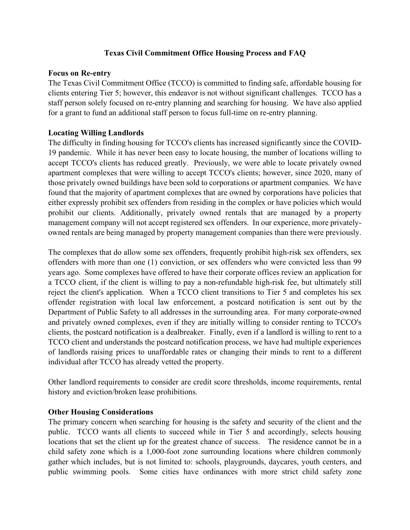## **Texas Civil Commitment Office Housing Process and FAQ**

#### **Focus on Re-entry**

The Texas Civil Commitment Office (TCCO) is committed to finding safe, affordable housing for clients entering Tier 5; however, this endeavor is not without significant challenges. TCCO has a staff person solely focused on re-entry planning and searching for housing. We have also applied for a grant to fund an additional staff person to focus full-time on re-entry planning.

#### **Locating Willing Landlords**

The difficulty in finding housing for TCCO's clients has increased significantly since the COVID-19 pandemic. While it has never been easy to locate housing, the number of locations willing to accept TCCO's clients has reduced greatly. Previously, we were able to locate privately owned apartment complexes that were willing to accept TCCO's clients; however, since 2020, many of those privately owned buildings have been sold to corporations or apartment companies. We have found that the majority of apartment complexes that are owned by corporations have policies that either expressly prohibit sex offenders from residing in the complex or have policies which would prohibit our clients. Additionally, privately owned rentals that are managed by a property management company will not accept registered sex offenders. In our experience, more privatelyowned rentals are being managed by property management companies than there were previously.

The complexes that do allow some sex offenders, frequently prohibit high-risk sex offenders, sex offenders with more than one (1) conviction, or sex offenders who were convicted less than 99 years ago. Some complexes have offered to have their corporate offices review an application for a TCCO client, if the client is willing to pay a non-refundable high-risk fee, but ultimately still reject the client's application. When a TCCO client transitions to Tier 5 and completes his sex offender registration with local law enforcement, a postcard notification is sent out by the Department of Public Safety to all addresses in the surrounding area. For many corporate-owned and privately owned complexes, even if they are initially willing to consider renting to TCCO's clients, the postcard notification is a dealbreaker. Finally, even if a landlord is willing to rent to a TCCO client and understands the postcard notification process, we have had multiple experiences of landlords raising prices to unaffordable rates or changing their minds to rent to a different individual after TCCO has already vetted the property.

Other landlord requirements to consider are credit score thresholds, income requirements, rental history and eviction/broken lease prohibitions.

## **Other Housing Considerations**

The primary concern when searching for housing is the safety and security of the client and the public. TCCO wants all clients to succeed while in Tier 5 and accordingly, selects housing locations that set the client up for the greatest chance of success. The residence cannot be in a child safety zone which is a 1,000-foot zone surrounding locations where children commonly gather which includes, but is not limited to: schools, playgrounds, daycares, youth centers, and public swimming pools. Some cities have ordinances with more strict child safety zone